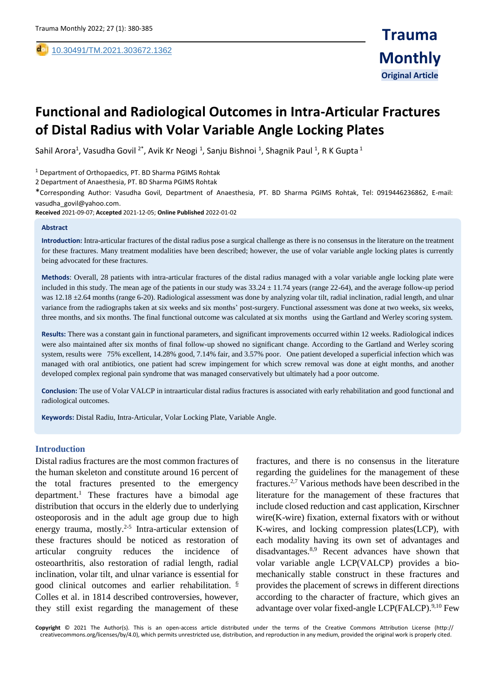# **Functional and Radiological Outcomes in Intra-Articular Fractures of Distal Radius with Volar Variable Angle Locking Plates**

Sahil Arora<sup>1</sup>, Vasudha Govil <sup>2\*</sup>, Avik Kr Neogi <sup>1</sup>, Sanju Bishnoi <sup>1</sup>, Shagnik Paul <sup>1</sup>, R K Gupta <sup>1</sup>

<sup>1</sup> Department of Orthopaedics, PT. BD Sharma PGIMS Rohtak

2 Department of Anaesthesia, PT. BD Sharma PGIMS Rohtak

\*Corresponding Author: Vasudha Govil, Department of Anaesthesia, PT. BD Sharma PGIMS Rohtak, Tel: 0919446236862, E-mail: vasudha\_govil@yahoo.com.

**Received** 2021-09-07; **Accepted** 2021-12-05; **Online Published** 2022-01-02

#### **Abstract**

,

**Introduction:** Intra-articular fractures of the distal radius pose a surgical challenge as there is no consensus in the literature on the treatment for these fractures. Many treatment modalities have been described; however, the use of volar variable angle locking plates is currently being advocated for these fractures.

**Methods**: Overall, 28 patients with intra-articular fractures of the distal radius managed with a volar variable angle locking plate were included in this study. The mean age of the patients in our study was  $33.24 \pm 11.74$  years (range 22-64), and the average follow-up period was 12.18  $\pm$ 2.64 months (range 6-20). Radiological assessment was done by analyzing volar tilt, radial inclination, radial length, and ulnar variance from the radiographs taken at six weeks and six months' post-surgery. Functional assessment was done at two weeks, six weeks, three months, and six months. The final functional outcome was calculated at six months using the Gartland and Werley scoring system.

**Results:** There was a constant gain in functional parameters, and significant improvements occurred within 12 weeks. Radiological indices were also maintained after six months of final follow-up showed no significant change. According to the Gartland and Werley scoring system, results were 75% excellent, 14.28% good, 7.14% fair, and 3.57% poor. One patient developed a superficial infection which was managed with oral antibiotics, one patient had screw impingement for which screw removal was done at eight months, and another developed complex regional pain syndrome that was managed conservatively but ultimately had a poor outcome.

**Conclusion:** The use of Volar VALCP in intraarticular distal radius fractures is associated with early rehabilitation and good functional and radiological outcomes.

**Keywords:** Distal Radiu, Intra-Articular, Volar Locking Plate, Variable Angle.

### **Introduction**

Distal radius fractures are the most common fractures of the human skeleton and constitute around 16 percent of the total fractures presented to the emergency department.<sup>1</sup> These fractures have a bimodal age distribution that occurs in the elderly due to underlying osteoporosis and in the adult age group due to high energy trauma, mostly. $2-5$  Intra-articular extension of these fractures should be noticed as restoration of articular congruity reduces the incidence of osteoarthritis, also restoration of radial length, radial inclination, volar tilt, and ulnar variance is essential for good clinical outcomes and earlier rehabilitation.  $6$ Colles et al. in 1814 described controversies, however, they still exist regarding the management of these

fractures, and there is no consensus in the literature regarding the guidelines for the management of these fractures.2,7 Various methods have been described in the literature for the management of these fractures that include closed reduction and cast application, Kirschner wire(K-wire) fixation, external fixators with or without K-wires, and locking compression plates(LCP), with each modality having its own set of advantages and disadvantages.8,9 Recent advances have shown that volar variable angle LCP(VALCP) provides a biomechanically stable construct in these fractures and provides the placement of screws in different directions according to the character of fracture, which gives an advantage over volar fixed-angle LCP(FALCP). $9,10$  Few

**Copyright** © 2021 The Author(s). This is an open-access article distributed under the terms of the Creative Commons Attribution License (http:// creativecommons.org/licenses/by/4.0), which permits unrestricted use, distribution, and reproduction in any medium, provided the original work is properly cited.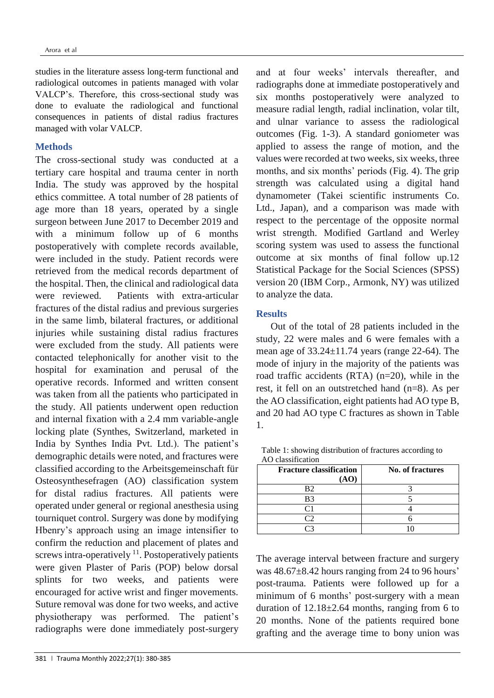studies in the literature assess long-term functional and radiological outcomes in patients managed with volar VALCP's. Therefore, this cross-sectional study was done to evaluate the radiological and functional consequences in patients of distal radius fractures managed with volar VALCP.

### **Methods**

The cross-sectional study was conducted at a tertiary care hospital and trauma center in north India. The study was approved by the hospital ethics committee. A total number of 28 patients of age more than 18 years, operated by a single surgeon between June 2017 to December 2019 and with a minimum follow up of 6 months postoperatively with complete records available, were included in the study. Patient records were retrieved from the medical records department of the hospital. Then, the clinical and radiological data were reviewed. Patients with extra-articular fractures of the distal radius and previous surgeries in the same limb, bilateral fractures, or additional injuries while sustaining distal radius fractures were excluded from the study. All patients were contacted telephonically for another visit to the hospital for examination and perusal of the operative records. Informed and written consent was taken from all the patients who participated in the study. All patients underwent open reduction and internal fixation with a 2.4 mm variable-angle locking plate (Synthes, Switzerland, marketed in India by Synthes India Pvt. Ltd.). The patient's demographic details were noted, and fractures were classified according to the Arbeitsgemeinschaft für Osteosynthesefragen (AO) classification system for distal radius fractures. All patients were operated under general or regional anesthesia using tourniquet control. Surgery was done by modifying Hbenry's approach using an image intensifier to confirm the reduction and placement of plates and screws intra-operatively  $11$ . Postoperatively patients were given Plaster of Paris (POP) below dorsal splints for two weeks, and patients were encouraged for active wrist and finger movements. Suture removal was done for two weeks, and active physiotherapy was performed. The patient's radiographs were done immediately post-surgery

and at four weeks' intervals thereafter, and radiographs done at immediate postoperatively and six months postoperatively were analyzed to measure radial length, radial inclination, volar tilt, and ulnar variance to assess the radiological outcomes (Fig. 1-3). A standard goniometer was applied to assess the range of motion, and the values were recorded at two weeks, six weeks, three months, and six months' periods (Fig. 4). The grip strength was calculated using a digital hand dynamometer (Takei scientific instruments Co. Ltd., Japan), and a comparison was made with respect to the percentage of the opposite normal wrist strength. Modified Gartland and Werley scoring system was used to assess the functional outcome at six months of final follow up.12 Statistical Package for the Social Sciences (SPSS) version 20 (IBM Corp., Armonk, NY) was utilized to analyze the data.

### **Results**

 Out of the total of 28 patients included in the study, 22 were males and 6 were females with a mean age of 33.24±11.74 years (range 22-64). The mode of injury in the majority of the patients was road traffic accidents (RTA) (n=20), while in the rest, it fell on an outstretched hand (n=8). As per the AO classification, eight patients had AO type B, and 20 had AO type C fractures as shown in Table 1.

| No. of fractures |
|------------------|
|                  |
|                  |
|                  |
|                  |
|                  |
|                  |
|                  |

Table 1: showing distribution of fractures according to AO classification

The average interval between fracture and surgery was 48.67±8.42 hours ranging from 24 to 96 hours' post-trauma. Patients were followed up for a minimum of 6 months' post-surgery with a mean duration of  $12.18 \pm 2.64$  months, ranging from 6 to 20 months. None of the patients required bone grafting and the average time to bony union was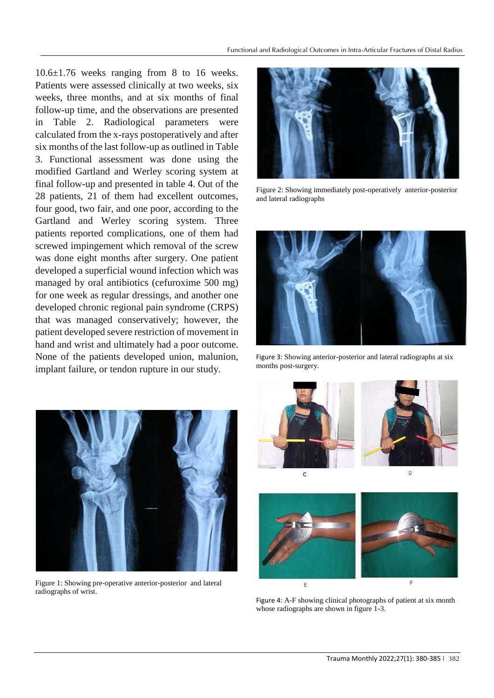10.6±1.76 weeks ranging from 8 to 16 weeks. Patients were assessed clinically at two weeks, six weeks, three months, and at six months of final follow-up time, and the observations are presented in Table 2. Radiological parameters were calculated from the x-rays postoperatively and after six months of the last follow-up as outlined in Table 3. Functional assessment was done using the modified Gartland and Werley scoring system at final follow-up and presented in table 4. Out of the 28 patients, 21 of them had excellent outcomes, four good, two fair, and one poor, according to the Gartland and Werley scoring system. Three patients reported complications, one of them had screwed impingement which removal of the screw was done eight months after surgery. One patient developed a superficial wound infection which was managed by oral antibiotics (cefuroxime 500 mg) for one week as regular dressings, and another one developed chronic regional pain syndrome (CRPS) that was managed conservatively; however, the patient developed severe restriction of movement in hand and wrist and ultimately had a poor outcome. None of the patients developed union, malunion, implant failure, or tendon rupture in our study.



Figure 2: Showing immediately post-operatively anterior-posterior and lateral radiographs



Figure 3: Showing anterior-posterior and lateral radiographs at six months post-surgery.



Figure 1: Showing pre-operative anterior-posterior and lateral radiographs of wrist.







Figure 4: A-F showing clinical photographs of patient at six month whose radiographs are shown in figure 1-3.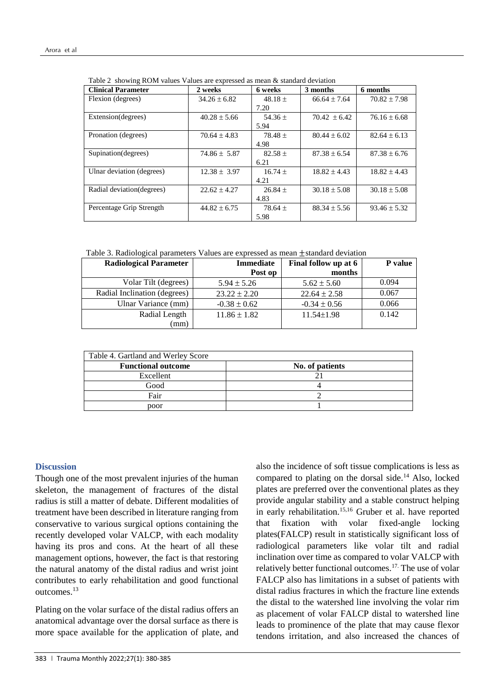| <b>Clinical Parameter</b>  | 2 weeks          | 6 weeks     | 3 months         | 6 months         |
|----------------------------|------------------|-------------|------------------|------------------|
| Flexion (degrees)          | $34.26 \pm 6.82$ | $48.18 \pm$ | $66.64 \pm 7.64$ | $70.82 \pm 7.98$ |
|                            |                  | 7.20        |                  |                  |
| Extension(degrees)         | $40.28 \pm 5.66$ | 54.36 $\pm$ | $70.42 \pm 6.42$ | $76.16 \pm 6.68$ |
|                            |                  | 5.94        |                  |                  |
| Pronation (degrees)        | $70.64 \pm 4.83$ | $78.48 \pm$ | $80.44 \pm 6.02$ | $82.64 \pm 6.13$ |
|                            |                  | 4.98        |                  |                  |
| Supination (degrees)       | $74.86 \pm 5.87$ | $82.58 \pm$ | $87.38 \pm 6.54$ | $87.38 \pm 6.76$ |
|                            |                  | 6.21        |                  |                  |
| Ulnar deviation (degrees)  | $12.38 \pm 3.97$ | $16.74 \pm$ | $18.82 \pm 4.43$ | $18.82 \pm 4.43$ |
|                            |                  | 4.21        |                  |                  |
| Radial deviation (degrees) | $22.62 \pm 4.27$ | $26.84 \pm$ | $30.18 \pm 5.08$ | $30.18 \pm 5.08$ |
|                            |                  | 4.83        |                  |                  |
| Percentage Grip Strength   | $44.82 \pm 6.75$ | $78.64 \pm$ | $88.34 \pm 5.56$ | $93.46 \pm 5.32$ |
|                            |                  | 5.98        |                  |                  |

Table 2 showing ROM values Values are expressed as mean  $\&$  standard deviation

Table 3. Radiological parameters Values are expressed as mean ±standard deviation

| <b>Radiological Parameter</b> | <b>Immediate</b> | Final follow up at 6 | <b>P</b> value |
|-------------------------------|------------------|----------------------|----------------|
|                               | Post op          | months               |                |
| Volar Tilt (degrees)          | $5.94 \pm 5.26$  | $5.62 \pm 5.60$      | 0.094          |
| Radial Inclination (degrees)  | $23.22 \pm 2.20$ | $22.64 \pm 2.58$     | 0.067          |
| Ulnar Variance (mm)           | $-0.38 \pm 0.62$ | $-0.34 \pm 0.56$     | 0.066          |
| Radial Length                 | $11.86 \pm 1.82$ | $11.54 \pm 1.98$     | 0.142          |
| (mm                           |                  |                      |                |

| Table 4. Gartland and Werley Score |                 |
|------------------------------------|-----------------|
| <b>Functional outcome</b>          | No. of patients |
| Excellent                          |                 |
| Good                               |                 |
| Fair                               |                 |
| poor                               |                 |

### **Discussion**

Though one of the most prevalent injuries of the human skeleton, the management of fractures of the distal radius is still a matter of debate. Different modalities of treatment have been described in literature ranging from conservative to various surgical options containing the recently developed volar VALCP, with each modality having its pros and cons. At the heart of all these management options, however, the fact is that restoring the natural anatomy of the distal radius and wrist joint contributes to early rehabilitation and good functional outcomes<sup>13</sup>

Plating on the volar surface of the distal radius offers an anatomical advantage over the dorsal surface as there is more space available for the application of plate, and

also the incidence of soft tissue complications is less as compared to plating on the dorsal side.<sup>14</sup> Also, locked plates are preferred over the conventional plates as they provide angular stability and a stable construct helping in early rehabilitation.<sup>15,16</sup> Gruber et al. have reported that fixation with volar fixed-angle locking plates(FALCP) result in statistically significant loss of radiological parameters like volar tilt and radial inclination over time as compared to volar VALCP with relatively better functional outcomes.17. The use of volar FALCP also has limitations in a subset of patients with distal radius fractures in which the fracture line extends the distal to the watershed line involving the volar rim as placement of volar FALCP distal to watershed line leads to prominence of the plate that may cause flexor tendons irritation, and also increased the chances of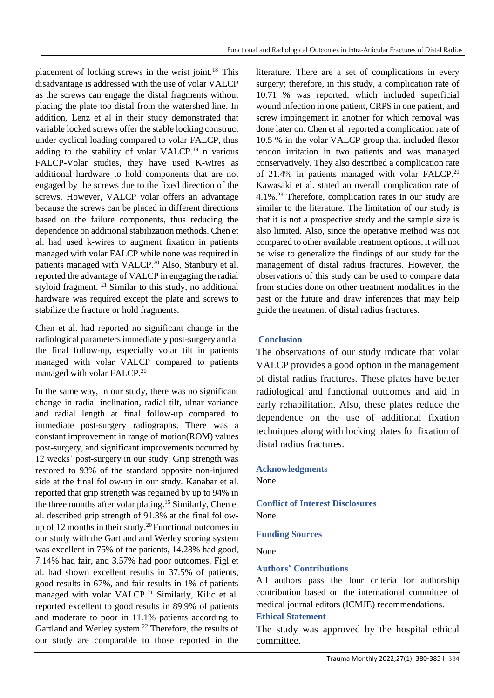placement of locking screws in the wrist joint.<sup>18</sup> This disadvantage is addressed with the use of volar VALCP as the screws can engage the distal fragments without placing the plate too distal from the watershed line. In addition, Lenz et al in their study demonstrated that variable locked screws offer the stable locking construct under cyclical loading compared to volar FALCP, thus adding to the stability of volar VALCP.<sup>19</sup> n various FALCP-Volar studies, they have used K-wires as additional hardware to hold components that are not engaged by the screws due to the fixed direction of the screws. However, VALCP volar offers an advantage because the screws can be placed in different directions based on the failure components, thus reducing the dependence on additional stabilization methods. Chen et al. had used k-wires to augment fixation in patients managed with volar FALCP while none was required in patients managed with VALCP.<sup>20</sup> Also, Stanbury et al, reported the advantage of VALCP in engaging the radial styloid fragment. <sup>21</sup> Similar to this study, no additional hardware was required except the plate and screws to stabilize the fracture or hold fragments.

Chen et al. had reported no significant change in the radiological parameters immediately post-surgery and at the final follow-up, especially volar tilt in patients managed with volar VALCP compared to patients managed with volar FALCP.<sup>20</sup>

In the same way, in our study, there was no significant change in radial inclination, radial tilt, ulnar variance and radial length at final follow-up compared to immediate post-surgery radiographs. There was a constant improvement in range of motion(ROM) values post-surgery, and significant improvements occurred by 12 weeks' post-surgery in our study. Grip strength was restored to 93% of the standard opposite non-injured side at the final follow-up in our study. Kanabar et al. reported that grip strength was regained by up to 94% in the three months after volar plating.<sup>15</sup> Similarly, Chen et al. described grip strength of 91.3% at the final followup of 12 months in their study.<sup>20</sup> Functional outcomes in our study with the Gartland and Werley scoring system was excellent in 75% of the patients, 14.28% had good, 7.14% had fair, and 3.57% had poor outcomes. Figl et al. had shown excellent results in 37.5% of patients, good results in 67%, and fair results in 1% of patients managed with volar VALCP.<sup>21</sup> Similarly, Kilic et al. reported excellent to good results in 89.9% of patients and moderate to poor in 11.1% patients according to Gartland and Werley system.<sup>22</sup> Therefore, the results of our study are comparable to those reported in the

literature. There are a set of complications in every surgery; therefore, in this study, a complication rate of 10.71 % was reported, which included superficial wound infection in one patient, CRPS in one patient, and screw impingement in another for which removal was done later on. Chen et al. reported a complication rate of 10.5 % in the volar VALCP group that included flexor tendon irritation in two patients and was managed conservatively. They also described a complication rate of 21.4% in patients managed with volar FALCP.<sup>20</sup> Kawasaki et al. stated an overall complication rate of 4.1%.<sup>23</sup> Therefore, complication rates in our study are similar to the literature. The limitation of our study is that it is not a prospective study and the sample size is also limited. Also, since the operative method was not compared to other available treatment options, it will not be wise to generalize the findings of our study for the management of distal radius fractures. However, the observations of this study can be used to compare data from studies done on other treatment modalities in the past or the future and draw inferences that may help guide the treatment of distal radius fractures.

# **Conclusion**

The observations of our study indicate that volar VALCP provides a good option in the management of distal radius fractures. These plates have better radiological and functional outcomes and aid in early rehabilitation. Also, these plates reduce the dependence on the use of additional fixation techniques along with locking plates for fixation of distal radius fractures.

# **Acknowledgments**

None

### **Conflict of Interest Disclosures** None

## **Funding Sources**

None

## **Authors' Contributions**

All authors pass the four criteria for authorship contribution based on the international committee of medical journal editors (ICMJE) recommendations.

### **Ethical Statement**

The study was approved by the hospital ethical committee.